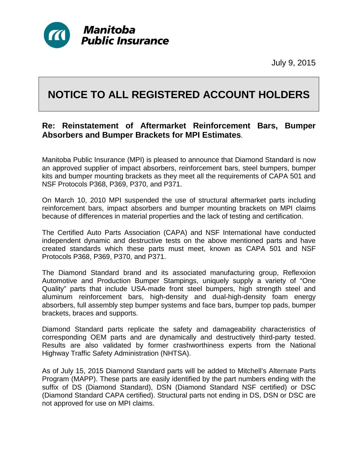

July 9, 2015

## **NOTICE TO ALL REGISTERED ACCOUNT HOLDERS**

## **Re: Reinstatement of Aftermarket Reinforcement Bars, Bumper Absorbers and Bumper Brackets for MPI Estimates**.

Manitoba Public Insurance (MPI) is pleased to announce that Diamond Standard is now an approved supplier of impact absorbers, reinforcement bars, steel bumpers, bumper kits and bumper mounting brackets as they meet all the requirements of CAPA 501 and NSF Protocols P368, P369, P370, and P371.

On March 10, 2010 MPI suspended the use of structural aftermarket parts including reinforcement bars, impact absorbers and bumper mounting brackets on MPI claims because of differences in material properties and the lack of testing and certification.

The Certified Auto Parts Association (CAPA) and NSF International have conducted independent dynamic and destructive tests on the above mentioned parts and have created standards which these parts must meet, known as CAPA 501 and NSF Protocols P368, P369, P370, and P371.

The Diamond Standard brand and its associated manufacturing group, Reflexxion Automotive and Production Bumper Stampings, uniquely supply a variety of "One Quality" parts that include USA-made front steel bumpers, high strength steel and aluminum reinforcement bars, high-density and dual-high-density foam energy absorbers, full assembly step bumper systems and face bars, bumper top pads, bumper brackets, braces and supports.

Diamond Standard parts replicate the safety and damageability characteristics of corresponding OEM parts and are dynamically and destructively third-party tested. Results are also validated by former crashworthiness experts from the National Highway Traffic Safety Administration (NHTSA).

As of July 15, 2015 Diamond Standard parts will be added to Mitchell's Alternate Parts Program (MAPP). These parts are easily identified by the part numbers ending with the suffix of DS (Diamond Standard), DSN (Diamond Standard NSF certified) or DSC (Diamond Standard CAPA certified). Structural parts not ending in DS, DSN or DSC are not approved for use on MPI claims.